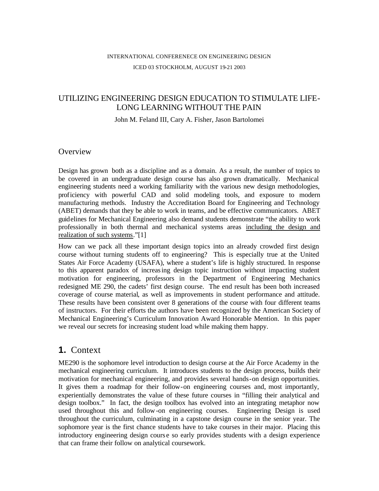# INTERNATIONAL CONFERENECE ON ENGINEERING DESIGN ICED 03 STOCKHOLM, AUGUST 19-21 2003

# UTILIZING ENGINEERING DESIGN EDUCATION TO STIMULATE LIFE-LONG LEARNING WITHOUT THE PAIN

#### John M. Feland III, Cary A. Fisher, Jason Bartolomei

#### **Overview**

Design has grown both as a discipline and as a domain. As a result, the number of topics to be covered in an undergraduate design course has also grown dramatically. Mechanical engineering students need a working familiarity with the various new design methodologies, proficiency with powerful CAD and solid modeling tools, and exposure to modern manufacturing methods. Industry the Accreditation Board for Engineering and Technology (ABET) demands that they be able to work in teams, and be effective communicators. ABET guidelines for Mechanical Engineering also demand students demonstrate "the ability to work professionally in both thermal and mechanical systems areas including the design and realization of such systems."[1]

How can we pack all these important design topics into an already crowded first design course without turning students off to engineering? This is especially true at the United States Air Force Academy (USAFA), where a student's life is highly structured. In response to this apparent paradox of increasing design topic instruction without impacting student motivation for engineering, professors in the Department of Engineering Mechanics redesigned ME 290, the cadets' first design course. The end result has been both increased coverage of course material, as well as improvements in student performance and attitude. These results have been consistent over 8 generations of the course with four different teams of instructors. For their efforts the authors have been recognized by the American Society of Mechanical Engineering's Curriculum Innovation Award Honorable Mention. In this paper we reveal our secrets for increasing student load while making them happy.

# **1.** Context

ME290 is the sophomore level introduction to design course at the Air Force Academy in the mechanical engineering curriculum. It introduces students to the design process, builds their motivation for mechanical engineering, and provides several hands-on design opportunities. It gives them a roadmap for their follow-on engineering courses and, most importantly, experientially demonstrates the value of these future courses in "filling their analytical and design toolbox." In fact, the design toolbox has evolved into an integrating metaphor now used throughout this and follow-on engineering courses. Engineering Design is used throughout the curriculum, culminating in a capstone design course in the senior year. The sophomore year is the first chance students have to take courses in their major. Placing this introductory engineering design cours e so early provides students with a design experience that can frame their follow on analytical coursework.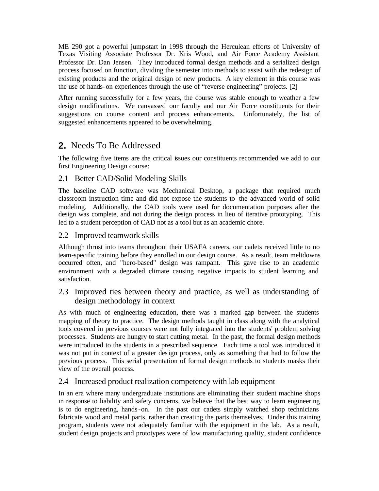ME 290 got a powerful jump-start in 1998 through the Herculean efforts of University of Texas Visiting Associate Professor Dr. Kris Wood, and Air Force Academy Assistant Professor Dr. Dan Jensen. They introduced formal design methods and a serialized design process focused on function, dividing the semester into methods to assist with the redesign of existing products and the original design of new products. A key element in this course was the use of hands-on experiences through the use of "reverse engineering" projects. [2]

After running successfully for a few years, the course was stable enough to weather a few design modifications. We canvassed our faculty and our Air Force constituents for their suggestions on course content and process enhancements. Unfortunately, the list of suggested enhancements appeared to be overwhelming.

# **2.** Needs To Be Addressed

The following five items are the critical issues our constituents recommended we add to our first Engineering Design course:

# 2.1 Better CAD/Solid Modeling Skills

The baseline CAD software was Mechanical Desktop, a package that required much classroom instruction time and did not expose the students to the advanced world of solid modeling. Additionally, the CAD tools were used for documentation purposes after the design was complete, and not during the design process in lieu of iterative prototyping. This led to a student perception of CAD not as a tool but as an academic chore.

## 2.2 Improved teamwork skills

Although thrust into teams throughout their USAFA careers, our cadets received little to no team-specific training before they enrolled in our design course. As a result, team meltdowns occurred often, and "hero-based" design was rampant. This gave rise to an academic environment with a degraded climate causing negative impacts to student learning and satisfaction.

## 2.3 Improved ties between theory and practice, as well as understanding of design methodology in context

As with much of engineering education, there was a marked gap between the students mapping of theory to practice. The design methods taught in class along with the analytical tools covered in previous courses were not fully integrated into the students' problem solving processes. Students are hungry to start cutting metal. In the past, the formal design methods were introduced to the students in a prescribed sequence. Each time a tool was introduced it was not put in context of a greater design process, only as something that had to follow the previous process. This serial presentation of formal design methods to students masks their view of the overall process.

## 2.4 Increased product realization competency with lab equipment

In an era where many undergraduate institutions are eliminating their student machine shops in response to liability and safety concerns, we believe that the best way to learn engineering is to do engineering, hands-on. In the past our cadets simply watched shop technicians fabricate wood and metal parts, rather than creating the parts themselves. Under this training program, students were not adequately familiar with the equipment in the lab. As a result, student design projects and prototypes were of low manufacturing quality, student confidence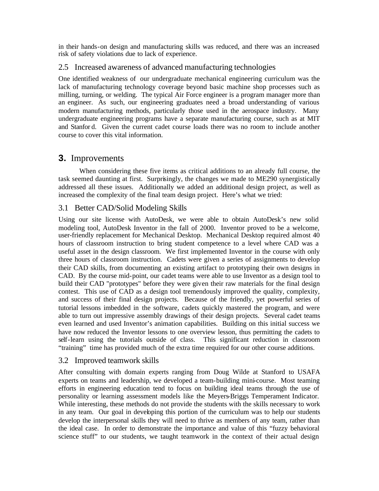in their hands-on design and manufacturing skills was reduced, and there was an increased risk of safety violations due to lack of experience.

#### 2.5 Increased awareness of advanced manufacturing technologies

One identified weakness of our undergraduate mechanical engineering curriculum was the lack of manufacturing technology coverage beyond basic machine shop processes such as milling, turning, or welding. The typical Air Force engineer is a program manager more than an engineer. As such, our engineering graduates need a broad understanding of various modern manufacturing methods, particularly those used in the aerospace industry. Many undergraduate engineering programs have a separate manufacturing course, such as at MIT and Stanfor d. Given the current cadet course loads there was no room to include another course to cover this vital information.

# **3.** Improvements

When considering these five items as critical additions to an already full course, the task seemed daunting at first. Surprisingly, the changes we made to ME290 synergistically addressed all these issues. Additionally we added an additional design project, as well as increased the complexity of the final team design project. Here's what we tried:

## 3.1 Better CAD/Solid Modeling Skills

Using our site license with AutoDesk, we were able to obtain AutoDesk's new solid modeling tool, AutoDesk Inventor in the fall of 2000. Inventor proved to be a welcome, user-friendly replacement for Mechanical Desktop. Mechanical Desktop required almost 40 hours of classroom instruction to bring student competence to a level where CAD was a useful asset in the design classroom. We first implemented Inventor in the course with only three hours of classroom instruction. Cadets were given a series of assignments to develop their CAD skills, from documenting an existing artifact to prototyping their own designs in CAD. By the course mid-point, our cadet teams were able to use Inventor as a design tool to build their CAD "prototypes" before they were given their raw materials for the final design contest. This use of CAD as a design tool tremendously improved the quality, complexity, and success of their final design projects. Because of the friendly, yet powerful series of tutorial lessons imbedded in the software, cadets quickly mastered the program, and were able to turn out impressive assembly drawings of their design projects. Several cadet teams even learned and used Inventor's animation capabilities. Building on this initial success we have now reduced the Inventor lessons to one overview lesson, thus permitting the cadets to self-learn using the tutorials outside of class. This significant reduction in classroom "training" time has provided much of the extra time required for our other course additions.

## 3.2 Improved teamwork skills

After consulting with domain experts ranging from Doug Wilde at Stanford to USAFA experts on teams and leadership, we developed a team-building mini-course. Most teaming efforts in engineering education tend to focus on building ideal teams through the use of personality or learning assessment models like the Meyers-Briggs Temperament Indicator. While interesting, these methods do not provide the students with the skills necessary to work in any team. Our goal in developing this portion of the curriculum was to help our students develop the interpersonal skills they will need to thrive as members of any team, rather than the ideal case. In order to demonstrate the importance and value of this "fuzzy behavioral science stuff" to our students, we taught teamwork in the context of their actual design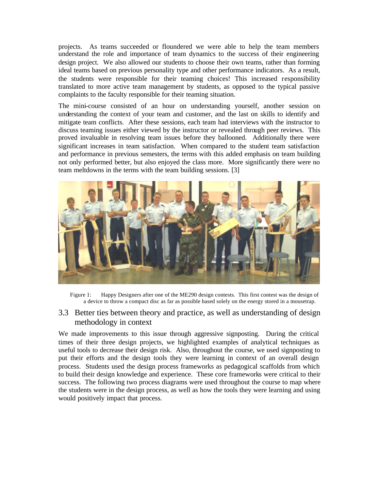projects. As teams succeeded or floundered we were able to help the team members understand the role and importance of team dynamics to the success of their engineering design project. We also allowed our students to choose their own teams, rather than forming ideal teams based on previous personality type and other performance indicators. As a result, the students were responsible for their teaming choices! This increased responsibility translated to more active team management by students, as opposed to the typical passive complaints to the faculty responsible for their teaming situation.

The mini-course consisted of an hour on understanding yourself, another session on understanding the context of your team and customer, and the last on skills to identify and mitigate team conflicts. After these sessions, each team had interviews with the instructor to discuss teaming issues either viewed by the instructor or revealed through peer reviews. This proved invaluable in resolving team issues before they ballooned. Additionally there were significant increases in team satisfaction. When compared to the student team satisfaction and performance in previous semesters, the terms with this added emphasis on team building not only performed better, but also enjoyed the class more. More significantly there were no team meltdowns in the terms with the team building sessions. [3]



Figure 1: Happy Designers after one of the ME290 design contests. This first contest was the design of a device to throw a compact disc as far as possible based solely on the energy stored in a mousetrap.

# 3.3 Better ties between theory and practice, as well as understanding of design methodology in context

We made improvements to this issue through aggressive signposting. During the critical times of their three design projects, we highlighted examples of analytical techniques as useful tools to decrease their design risk. Also, throughout the course, we used signposting to put their efforts and the design tools they were learning in context of an overall design process. Students used the design process frameworks as pedagogical scaffolds from which to build their design knowledge and experience. These core frameworks were critical to their success. The following two process diagrams were used throughout the course to map where the students were in the design process, as well as how the tools they were learning and using would positively impact that process.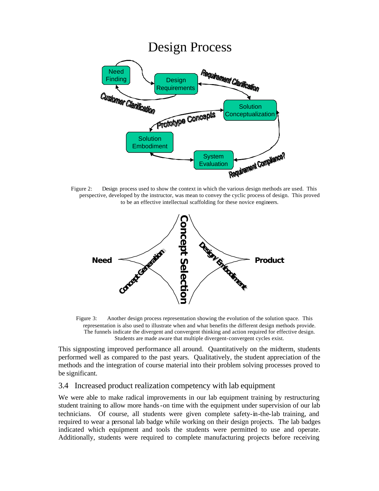

Figure 2: Design process used to show the context in which the various design methods are used. This perspective, developed by the instructor, was mean to convey the cyclic process of design. This proved to be an effective intellectual scaffolding for these novice engineers.



Figure 3: Another design process representation showing the evolution of the solution space. This representation is also used to illustrate when and what benefits the different design methods provide. The funnels indicate the divergent and convergent thinking and action required for effective design. Students are made aware that multiple divergent-convergent cycles exist.

This signposting improved performance all around. Quantitatively on the midterm, students performed well as compared to the past years. Qualitatively, the student appreciation of the methods and the integration of course material into their problem solving processes proved to be significant.

#### 3.4 Increased product realization competency with lab equipment

We were able to make radical improvements in our lab equipment training by restructuring student training to allow more hands-on time with the equipment under supervision of our lab technicians. Of course, all students were given complete safety-in-the-lab training, and required to wear a personal lab badge while working on their design projects. The lab badges indicated which equipment and tools the students were permitted to use and operate. Additionally, students were required to complete manufacturing projects before receiving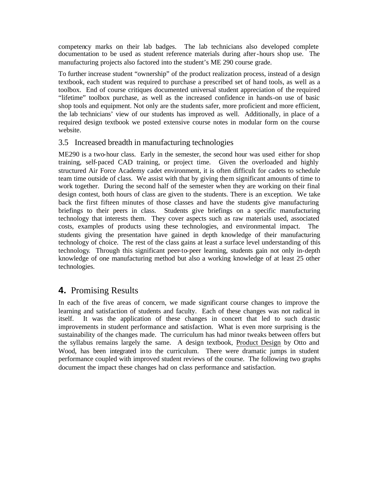competency marks on their lab badges. The lab technicians also developed complete documentation to be used as student reference materials during after-hours shop use. The manufacturing projects also factored into the student's ME 290 course grade.

To further increase student "ownership" of the product realization process, instead of a design textbook, each student was required to purchase a prescribed set of hand tools, as well as a toolbox. End of course critiques documented universal student appreciation of the required "lifetime" toolbox purchase, as well as the increased confidence in hands-on use of basic shop tools and equipment. Not only are the students safer, more proficient and more efficient, the lab technicians' view of our students has improved as well. Additionally, in place of a required design textbook we posted extensive course notes in modular form on the course website.

#### 3.5 Increased breadth in manufacturing technologies

ME290 is a two-hour class. Early in the semester, the second hour was used either for shop training, self-paced CAD training, or project time. Given the overloaded and highly structured Air Force Academy cadet environment, it is often difficult for cadets to schedule team time outside of class. We assist with that by giving them significant amounts of time to work together. During the second half of the semester when they are working on their final design contest, both hours of class are given to the students. There is an exception. We take back the first fifteen minutes of those classes and have the students give manufacturing briefings to their peers in class. Students give briefings on a specific manufacturing technology that interests them. They cover aspects such as raw materials used, associated costs, examples of products using these technologies, and environmental impact. The students giving the presentation have gained in depth knowledge of their manufacturing technology of choice. The rest of the class gains at least a surface level understanding of this technology. Through this significant peer-to-peer learning, students gain not only in-depth knowledge of one manufacturing method but also a working knowledge of at least 25 other technologies.

# **4.** Promising Results

In each of the five areas of concern, we made significant course changes to improve the learning and satisfaction of students and faculty. Each of these changes was not radical in itself. It was the application of these changes in concert that led to such drastic improvements in student performance and satisfaction. What is even more surprising is the sustainability of the changes made. The curriculum has had minor tweaks between offers but the syllabus remains largely the same. A design textbook, Product Design by Otto and Wood, has been integrated into the curriculum. There were dramatic jumps in student performance coupled with improved student reviews of the course. The following two graphs document the impact these changes had on class performance and satisfaction.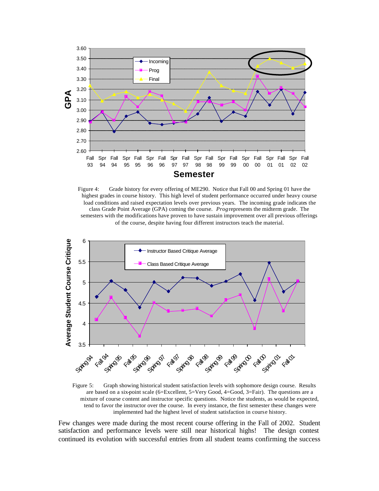

Figure 4: Grade history for every offering of ME290. Notice that Fall 00 and Spring 01 have the highest grades in course history. This high level of student performance occurred under heavy course load conditions and raised expectation levels over previous years. The incoming grade indicates the class Grade Point Average (GPA) coming the course. *Prog* represents the midterm grade. The semesters with the modifications have proven to have sustain improvement over all previous offerings of the course, despite having four different instructors teach the material.



Figure 5: Graph showing historical student satisfaction levels with sophomore design course. Results are based on a six-point scale (6=Excellent, 5=Very Good, 4=Good, 3=Fair). The questions are a mixture of course content and instructor specific questions. Notice the students, as would be expected, tend to favor the instructor over the course. In every instance, the first semester these changes were implemented had the highest level of student satisfaction in course history.

Few changes were made during the most recent course offering in the Fall of 2002. Student satisfaction and performance levels were still near historical highs! The design contest continued its evolution with successful entries from all student teams confirming the success